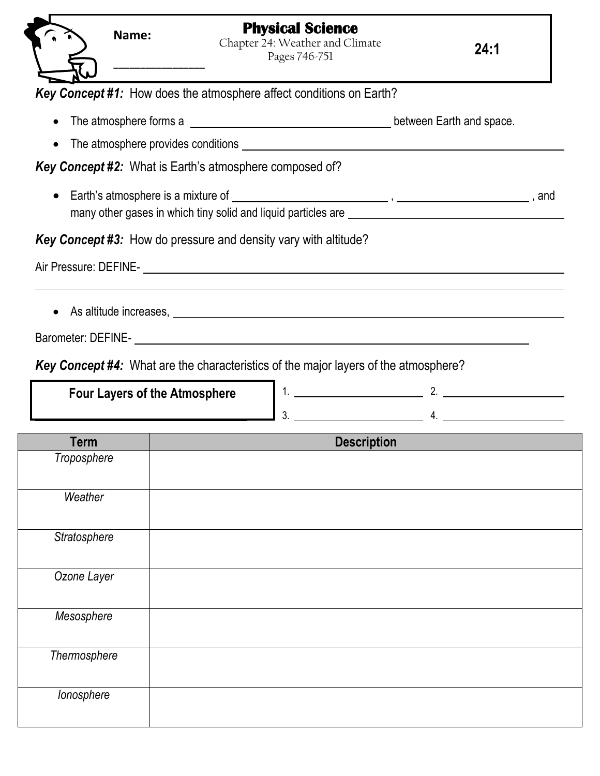|              | Name:                                | <b>Physical Science</b><br>Chapter 24: Weather and Climate<br>Pages 746-751                |                    | 24:1                                                                                                  |  |
|--------------|--------------------------------------|--------------------------------------------------------------------------------------------|--------------------|-------------------------------------------------------------------------------------------------------|--|
|              |                                      | Key Concept #1: How does the atmosphere affect conditions on Earth?                        |                    |                                                                                                       |  |
|              |                                      |                                                                                            |                    | The atmosphere forms a <u>entity of the state of the state of the state.</u> between Earth and space. |  |
|              |                                      |                                                                                            |                    |                                                                                                       |  |
|              |                                      | <b>Key Concept #2:</b> What is Earth's atmosphere composed of?                             |                    |                                                                                                       |  |
| $\bullet$    |                                      |                                                                                            |                    |                                                                                                       |  |
|              |                                      | <b>Key Concept #3:</b> How do pressure and density vary with altitude?                     |                    |                                                                                                       |  |
|              |                                      |                                                                                            |                    |                                                                                                       |  |
|              | <b>Four Layers of the Atmosphere</b> | <b>Key Concept #4:</b> What are the characteristics of the major layers of the atmosphere? |                    | $3.$ 4.                                                                                               |  |
| <b>Term</b>  |                                      |                                                                                            | <b>Description</b> |                                                                                                       |  |
| Troposphere  |                                      |                                                                                            |                    |                                                                                                       |  |
| Weather      |                                      |                                                                                            |                    |                                                                                                       |  |
| Stratosphere |                                      |                                                                                            |                    |                                                                                                       |  |
| Ozone Layer  |                                      |                                                                                            |                    |                                                                                                       |  |
| Mesosphere   |                                      |                                                                                            |                    |                                                                                                       |  |
| Thermosphere |                                      |                                                                                            |                    |                                                                                                       |  |
| lonosphere   |                                      |                                                                                            |                    |                                                                                                       |  |

 $\overline{\phantom{a}}$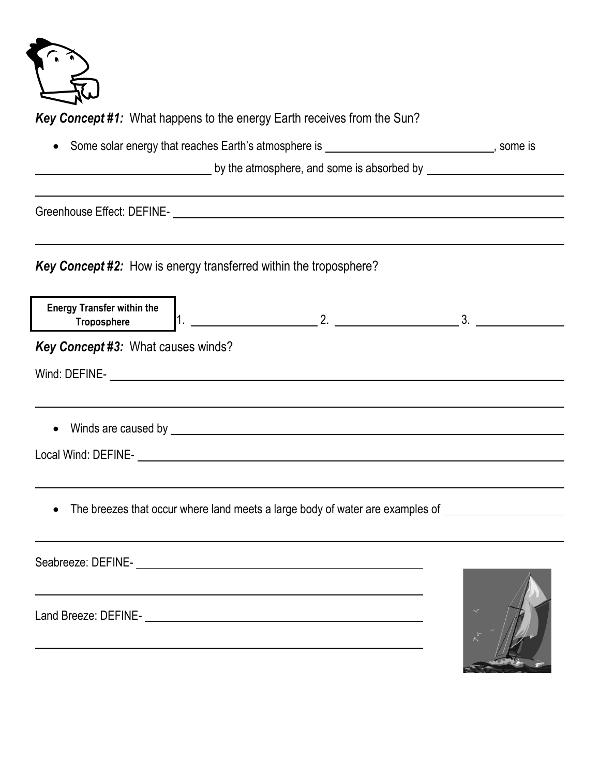

*Key Concept #1:* What happens to the energy Earth receives from the Sun?

|                                                                          | • Some solar energy that reaches Earth's atmosphere is _________________________________, some is |                                                                                                      |
|--------------------------------------------------------------------------|---------------------------------------------------------------------------------------------------|------------------------------------------------------------------------------------------------------|
|                                                                          |                                                                                                   |                                                                                                      |
|                                                                          |                                                                                                   |                                                                                                      |
| <b>Key Concept #2:</b> How is energy transferred within the troposphere? |                                                                                                   |                                                                                                      |
| <b>Energy Transfer within the</b><br><b>Troposphere</b>                  |                                                                                                   |                                                                                                      |
| Key Concept #3: What causes winds?                                       |                                                                                                   |                                                                                                      |
|                                                                          |                                                                                                   |                                                                                                      |
|                                                                          |                                                                                                   |                                                                                                      |
|                                                                          |                                                                                                   |                                                                                                      |
|                                                                          |                                                                                                   |                                                                                                      |
|                                                                          | ,我们也不会有什么。""我们的人,我们也不会有什么?""我们的人,我们也不会有什么?""我们的人,我们也不会有什么?""我们的人,我们也不会有什么?""我们的人                  |                                                                                                      |
|                                                                          |                                                                                                   | The breezes that occur where land meets a large body of water are examples of ______________________ |
|                                                                          |                                                                                                   |                                                                                                      |
|                                                                          | Seabreeze: DEFINE-<br><u>Seabreeze: DEFINE-</u>                                                   |                                                                                                      |
|                                                                          |                                                                                                   |                                                                                                      |

Land Breeze: DEFINE-

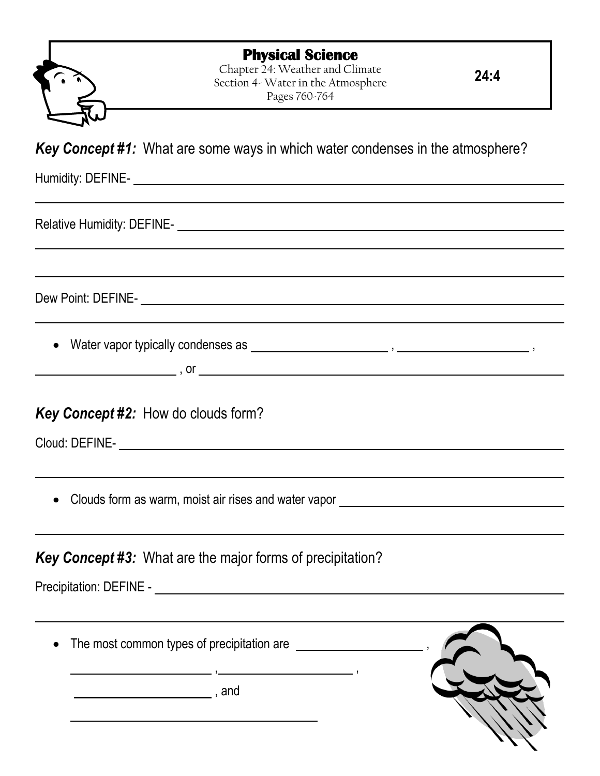| <b>Physical Science</b> |  |
|-------------------------|--|
|-------------------------|--|

Chapter 24: Weather and Climate Section 4- Water in the Atmosphere Pages 760-764

**24:4**

*Key Concept #1:* What are some ways in which water condenses in the atmosphere?

Humidity: DEFINE-

Relative Humidity: DEFINE-

Dew Point: DEFINE-

• Water vapor typically condenses as  $\overline{\phantom{a} \phantom{a}}$  ,  $\overline{\phantom{a} \phantom{a}}$  ,  $\overline{\phantom{a} \phantom{a}}$  ,  $\overline{\phantom{a} \phantom{a}}$  ,  $\overline{\phantom{a} \phantom{a}}$ 

|   | ۰, |  |
|---|----|--|
| Ξ |    |  |
|   |    |  |
|   |    |  |

## *Key Concept #2:* How do clouds form?

Cloud: DEFINE-

• Clouds form as warm, moist air rises and water vapor **construct and interest and the Clouds** form as warm, moist air rises and water vapor

## *Key Concept #3:* What are the major forms of precipitation?

Precipitation: DEFINE - **Example 2018** 

The most common types of precipitation are  $\sqrt{2}$ ,

, and  $\alpha$ , and  $\alpha$ 

, ,

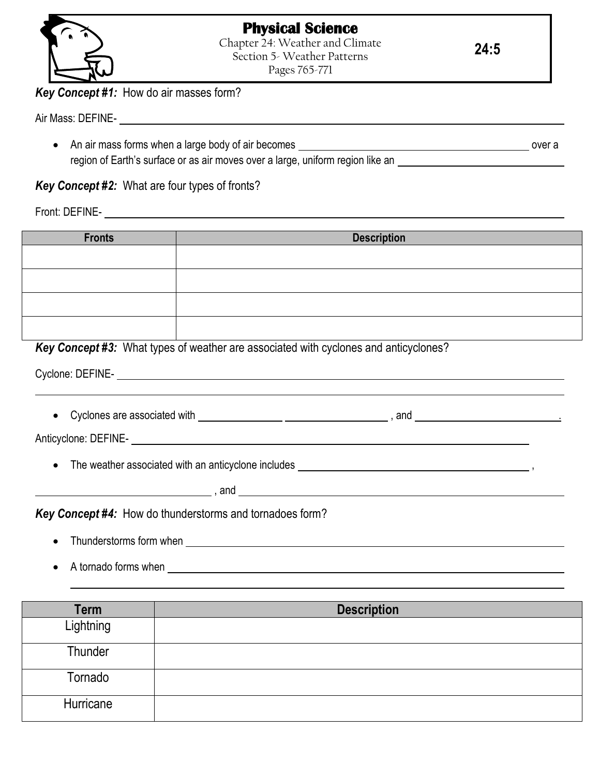

**24:5**

*Key Concept #1:* How do air masses form?

Air Mass: DEFINE-

• An air mass forms when a large body of air becomes **contract and all any contract of a** over a region of Earth's surface or as air moves over a large, uniform region like an substance that the surface or as

*Key Concept #2:* What are four types of fronts?

Front: DEFINE-

| <b>Fronts</b> | <b>Description</b> |
|---------------|--------------------|
|               |                    |
|               |                    |
|               |                    |
|               |                    |

*Key Concept #3:* What types of weather are associated with cyclones and anticyclones?

Cyclone: DEFINE-

• Cyclones are associated with  $\frac{1}{1}$   $\frac{1}{1}$   $\frac{1}{1}$   $\frac{1}{1}$   $\frac{1}{1}$   $\frac{1}{1}$   $\frac{1}{1}$   $\frac{1}{1}$   $\frac{1}{1}$   $\frac{1}{1}$   $\frac{1}{1}$   $\frac{1}{1}$   $\frac{1}{1}$   $\frac{1}{1}$   $\frac{1}{1}$   $\frac{1}{1}$   $\frac{1}{1}$   $\frac{1}{1}$   $\frac{1}{1}$ 

Anticyclone: DEFINE-

The weather associated with an anticyclone includes ,

, and

*Key Concept #4:* How do thunderstorms and tornadoes form?

- Thunderstorms form when
	- A tornado forms when

| Term      | <b>Description</b> |
|-----------|--------------------|
| Lightning |                    |
| Thunder   |                    |
| Tornado   |                    |
| Hurricane |                    |